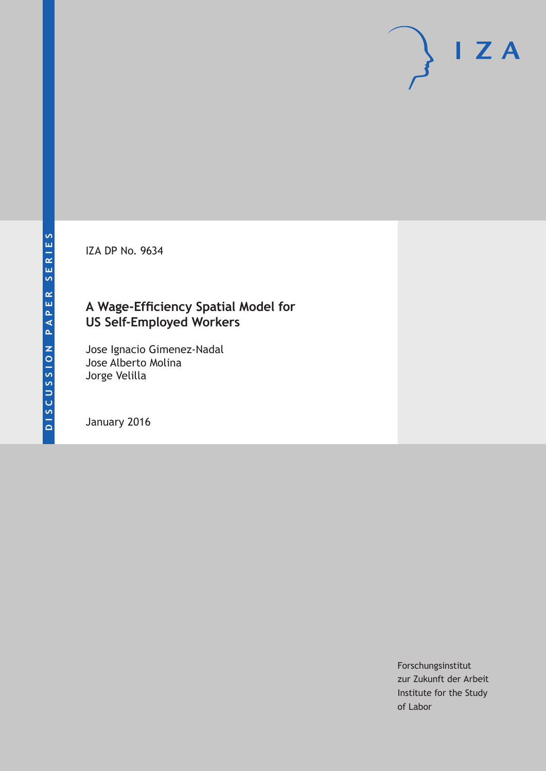IZA DP No. 9634

# **A Wage-Efficiency Spatial Model for US Self-Employed Workers**

Jose Ignacio Gimenez-Nadal Jose Alberto Molina Jorge Velilla

January 2016

Forschungsinstitut zur Zukunft der Arbeit Institute for the Study of Labor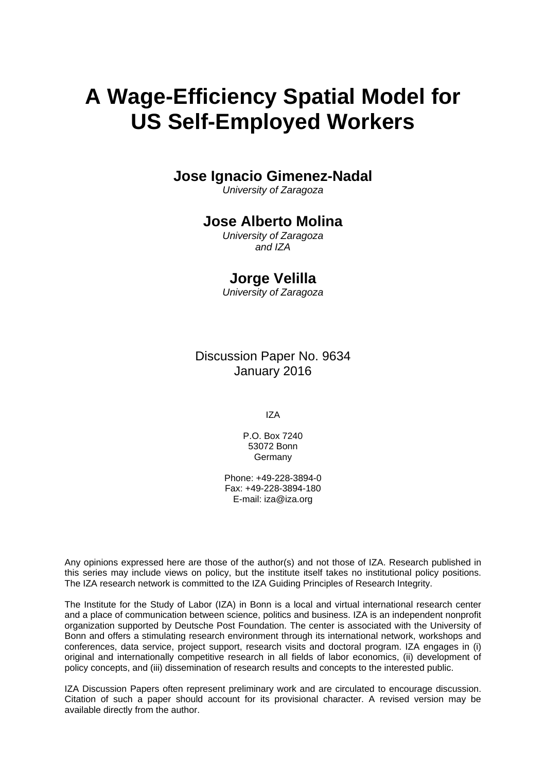# **A Wage-Efficiency Spatial Model for US Self-Employed Workers**

## **Jose Ignacio Gimenez-Nadal**

*University of Zaragoza* 

### **Jose Alberto Molina**

*University of Zaragoza and IZA* 

## **Jorge Velilla**

*University of Zaragoza*

Discussion Paper No. 9634 January 2016

IZA

P.O. Box 7240 53072 Bonn Germany

Phone: +49-228-3894-0 Fax: +49-228-3894-180 E-mail: iza@iza.org

Any opinions expressed here are those of the author(s) and not those of IZA. Research published in this series may include views on policy, but the institute itself takes no institutional policy positions. The IZA research network is committed to the IZA Guiding Principles of Research Integrity.

The Institute for the Study of Labor (IZA) in Bonn is a local and virtual international research center and a place of communication between science, politics and business. IZA is an independent nonprofit organization supported by Deutsche Post Foundation. The center is associated with the University of Bonn and offers a stimulating research environment through its international network, workshops and conferences, data service, project support, research visits and doctoral program. IZA engages in (i) original and internationally competitive research in all fields of labor economics, (ii) development of policy concepts, and (iii) dissemination of research results and concepts to the interested public.

IZA Discussion Papers often represent preliminary work and are circulated to encourage discussion. Citation of such a paper should account for its provisional character. A revised version may be available directly from the author.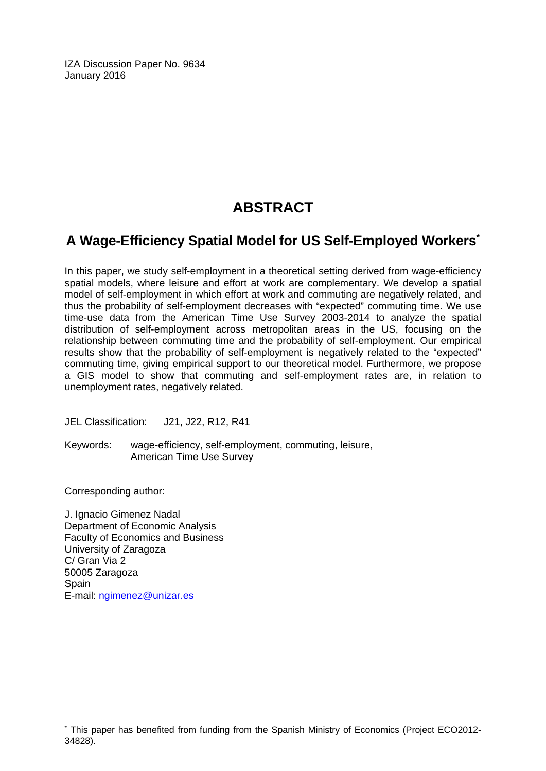IZA Discussion Paper No. 9634 January 2016

# **ABSTRACT**

## **A Wage-Efficiency Spatial Model for US Self-Employed Workers\***

In this paper, we study self-employment in a theoretical setting derived from wage-efficiency spatial models, where leisure and effort at work are complementary. We develop a spatial model of self-employment in which effort at work and commuting are negatively related, and thus the probability of self-employment decreases with "expected" commuting time. We use time-use data from the American Time Use Survey 2003-2014 to analyze the spatial distribution of self-employment across metropolitan areas in the US, focusing on the relationship between commuting time and the probability of self-employment. Our empirical results show that the probability of self-employment is negatively related to the "expected" commuting time, giving empirical support to our theoretical model. Furthermore, we propose a GIS model to show that commuting and self-employment rates are, in relation to unemployment rates, negatively related.

JEL Classification: J21, J22, R12, R41

Keywords: wage-efficiency, self-employment, commuting, leisure, American Time Use Survey

Corresponding author:

 $\overline{a}$ 

J. Ignacio Gimenez Nadal Department of Economic Analysis Faculty of Economics and Business University of Zaragoza C/ Gran Via 2 50005 Zaragoza Spain E-mail: ngimenez@unizar.es

<sup>\*</sup> This paper has benefited from funding from the Spanish Ministry of Economics (Project ECO2012- 34828).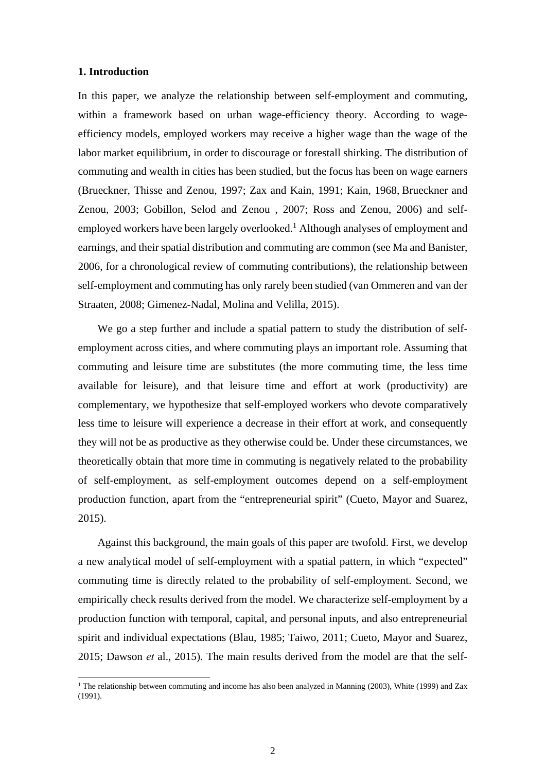#### **1. Introduction**

In this paper, we analyze the relationship between self-employment and commuting, within a framework based on urban wage-efficiency theory. According to wageefficiency models, employed workers may receive a higher wage than the wage of the labor market equilibrium, in order to discourage or forestall shirking. The distribution of commuting and wealth in cities has been studied, but the focus has been on wage earners (Brueckner, Thisse and Zenou, 1997; Zax and Kain, 1991; Kain, 1968, Brueckner and Zenou, 2003; Gobillon, Selod and Zenou , 2007; Ross and Zenou, 2006) and selfemployed workers have been largely overlooked.<sup>1</sup> Although analyses of employment and earnings, and their spatial distribution and commuting are common (see Ma and Banister, 2006, for a chronological review of commuting contributions), the relationship between self-employment and commuting has only rarely been studied (van Ommeren and van der Straaten, 2008; Gimenez-Nadal, Molina and Velilla, 2015).

We go a step further and include a spatial pattern to study the distribution of selfemployment across cities, and where commuting plays an important role. Assuming that commuting and leisure time are substitutes (the more commuting time, the less time available for leisure), and that leisure time and effort at work (productivity) are complementary, we hypothesize that self-employed workers who devote comparatively less time to leisure will experience a decrease in their effort at work, and consequently they will not be as productive as they otherwise could be. Under these circumstances, we theoretically obtain that more time in commuting is negatively related to the probability of self-employment, as self-employment outcomes depend on a self-employment production function, apart from the "entrepreneurial spirit" (Cueto, Mayor and Suarez, 2015).

Against this background, the main goals of this paper are twofold. First, we develop a new analytical model of self-employment with a spatial pattern, in which "expected" commuting time is directly related to the probability of self-employment. Second, we empirically check results derived from the model. We characterize self-employment by a production function with temporal, capital, and personal inputs, and also entrepreneurial spirit and individual expectations (Blau, 1985; Taiwo, 2011; Cueto, Mayor and Suarez, 2015; Dawson *et* al., 2015). The main results derived from the model are that the self-

<sup>&</sup>lt;sup>1</sup> The relationship between commuting and income has also been analyzed in Manning (2003), White (1999) and Zax (1991).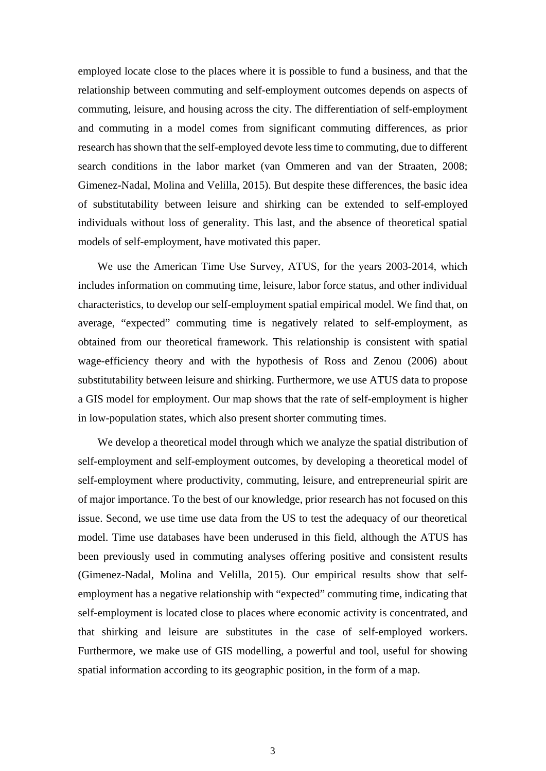employed locate close to the places where it is possible to fund a business, and that the relationship between commuting and self-employment outcomes depends on aspects of commuting, leisure, and housing across the city. The differentiation of self-employment and commuting in a model comes from significant commuting differences, as prior research has shown that the self-employed devote less time to commuting, due to different search conditions in the labor market (van Ommeren and van der Straaten, 2008; Gimenez-Nadal, Molina and Velilla, 2015). But despite these differences, the basic idea of substitutability between leisure and shirking can be extended to self-employed individuals without loss of generality. This last, and the absence of theoretical spatial models of self-employment, have motivated this paper.

We use the American Time Use Survey, ATUS, for the years 2003-2014, which includes information on commuting time, leisure, labor force status, and other individual characteristics, to develop our self-employment spatial empirical model. We find that, on average, "expected" commuting time is negatively related to self-employment, as obtained from our theoretical framework. This relationship is consistent with spatial wage-efficiency theory and with the hypothesis of Ross and Zenou (2006) about substitutability between leisure and shirking. Furthermore, we use ATUS data to propose a GIS model for employment. Our map shows that the rate of self-employment is higher in low-population states, which also present shorter commuting times.

We develop a theoretical model through which we analyze the spatial distribution of self-employment and self-employment outcomes, by developing a theoretical model of self-employment where productivity, commuting, leisure, and entrepreneurial spirit are of major importance. To the best of our knowledge, prior research has not focused on this issue. Second, we use time use data from the US to test the adequacy of our theoretical model. Time use databases have been underused in this field, although the ATUS has been previously used in commuting analyses offering positive and consistent results (Gimenez-Nadal, Molina and Velilla, 2015). Our empirical results show that selfemployment has a negative relationship with "expected" commuting time, indicating that self-employment is located close to places where economic activity is concentrated, and that shirking and leisure are substitutes in the case of self-employed workers. Furthermore, we make use of GIS modelling, a powerful and tool, useful for showing spatial information according to its geographic position, in the form of a map.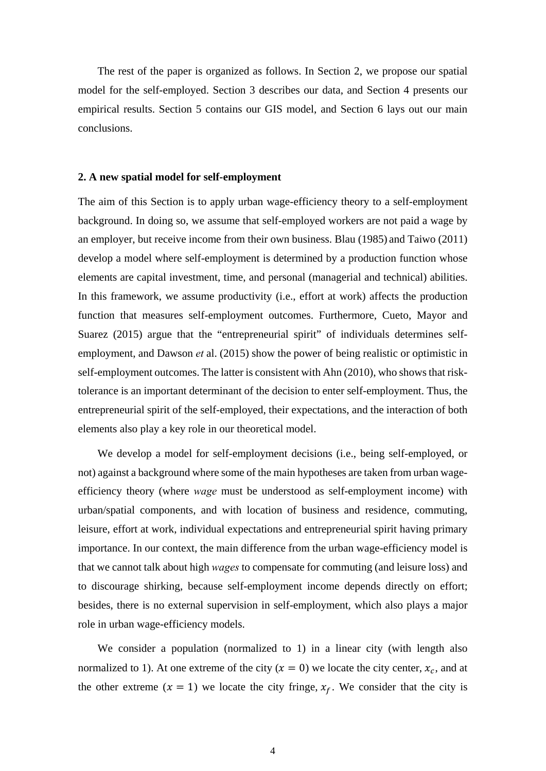The rest of the paper is organized as follows. In Section 2, we propose our spatial model for the self-employed. Section 3 describes our data, and Section 4 presents our empirical results. Section 5 contains our GIS model, and Section 6 lays out our main conclusions.

#### **2. A new spatial model for self-employment**

The aim of this Section is to apply urban wage-efficiency theory to a self-employment background. In doing so, we assume that self-employed workers are not paid a wage by an employer, but receive income from their own business. Blau (1985) and Taiwo (2011) develop a model where self-employment is determined by a production function whose elements are capital investment, time, and personal (managerial and technical) abilities. In this framework, we assume productivity (i.e., effort at work) affects the production function that measures self-employment outcomes. Furthermore, Cueto, Mayor and Suarez (2015) argue that the "entrepreneurial spirit" of individuals determines selfemployment, and Dawson *et* al. (2015) show the power of being realistic or optimistic in self-employment outcomes. The latter is consistent with Ahn (2010), who shows that risktolerance is an important determinant of the decision to enter self-employment. Thus, the entrepreneurial spirit of the self-employed, their expectations, and the interaction of both elements also play a key role in our theoretical model.

We develop a model for self-employment decisions (i.e., being self-employed, or not) against a background where some of the main hypotheses are taken from urban wageefficiency theory (where *wage* must be understood as self-employment income) with urban/spatial components, and with location of business and residence, commuting, leisure, effort at work, individual expectations and entrepreneurial spirit having primary importance. In our context, the main difference from the urban wage-efficiency model is that we cannot talk about high *wages* to compensate for commuting (and leisure loss) and to discourage shirking, because self-employment income depends directly on effort; besides, there is no external supervision in self-employment, which also plays a major role in urban wage-efficiency models.

We consider a population (normalized to 1) in a linear city (with length also normalized to 1). At one extreme of the city  $(x = 0)$  we locate the city center,  $x_c$ , and at the other extreme  $(x = 1)$  we locate the city fringe,  $x_f$ . We consider that the city is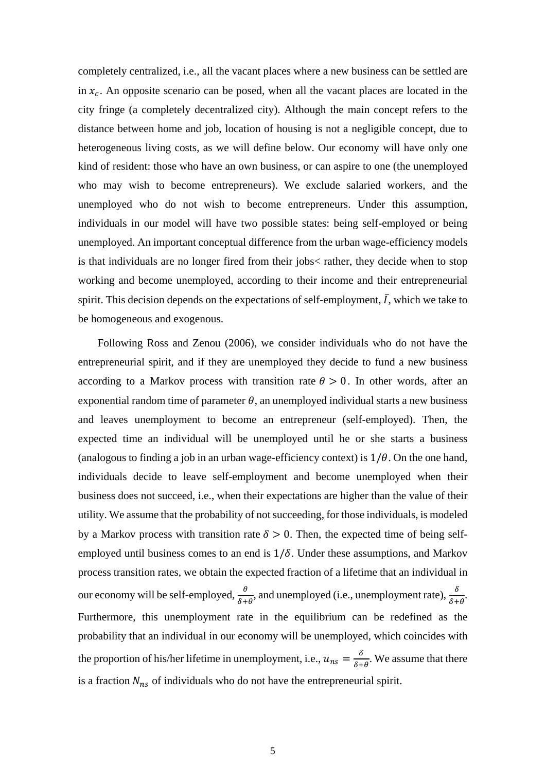completely centralized, i.e., all the vacant places where a new business can be settled are in  $x_c$ . An opposite scenario can be posed, when all the vacant places are located in the city fringe (a completely decentralized city). Although the main concept refers to the distance between home and job, location of housing is not a negligible concept, due to heterogeneous living costs, as we will define below. Our economy will have only one kind of resident: those who have an own business, or can aspire to one (the unemployed who may wish to become entrepreneurs). We exclude salaried workers, and the unemployed who do not wish to become entrepreneurs. Under this assumption, individuals in our model will have two possible states: being self-employed or being unemployed. An important conceptual difference from the urban wage-efficiency models is that individuals are no longer fired from their jobs< rather, they decide when to stop working and become unemployed, according to their income and their entrepreneurial spirit. This decision depends on the expectations of self-employment,  $\overline{I}$ , which we take to be homogeneous and exogenous.

Following Ross and Zenou (2006), we consider individuals who do not have the entrepreneurial spirit, and if they are unemployed they decide to fund a new business according to a Markov process with transition rate  $\theta > 0$ . In other words, after an exponential random time of parameter  $\theta$ , an unemployed individual starts a new business and leaves unemployment to become an entrepreneur (self-employed). Then, the expected time an individual will be unemployed until he or she starts a business (analogous to finding a job in an urban wage-efficiency context) is  $1/\theta$ . On the one hand, individuals decide to leave self-employment and become unemployed when their business does not succeed, i.e., when their expectations are higher than the value of their utility. We assume that the probability of not succeeding, for those individuals, is modeled by a Markov process with transition rate  $\delta > 0$ . Then, the expected time of being selfemployed until business comes to an end is  $1/\delta$ . Under these assumptions, and Markov process transition rates, we obtain the expected fraction of a lifetime that an individual in our economy will be self-employed,  $\frac{\theta}{\delta+\theta}$ , and unemployed (i.e., unemployment rate),  $\frac{\delta}{\delta+\theta}$ . Furthermore, this unemployment rate in the equilibrium can be redefined as the probability that an individual in our economy will be unemployed, which coincides with the proportion of his/her lifetime in unemployment, i.e.,  $u_{ns} = \frac{\delta}{\delta + \theta}$ . We assume that there is a fraction  $N_{ns}$  of individuals who do not have the entrepreneurial spirit.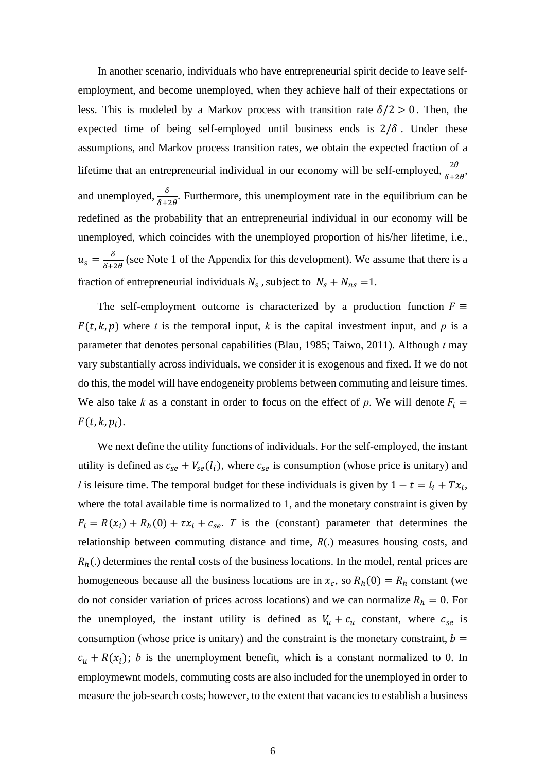In another scenario, individuals who have entrepreneurial spirit decide to leave selfemployment, and become unemployed, when they achieve half of their expectations or less. This is modeled by a Markov process with transition rate  $\delta/2 > 0$ . Then, the expected time of being self-employed until business ends is  $2/\delta$ . Under these assumptions, and Markov process transition rates, we obtain the expected fraction of a lifetime that an entrepreneurial individual in our economy will be self-employed,  $\frac{2\theta}{\delta+2\theta}$ , and unemployed,  $\frac{\delta}{\delta+2\theta}$ . Furthermore, this unemployment rate in the equilibrium can be redefined as the probability that an entrepreneurial individual in our economy will be unemployed, which coincides with the unemployed proportion of his/her lifetime, i.e.,  $u_s = \frac{\delta}{\delta + 2\theta}$  (see Note 1 of the Appendix for this development). We assume that there is a fraction of entrepreneurial individuals  $N_s$ , subject to  $N_s + N_{ns} = 1$ .

The self-employment outcome is characterized by a production function  $F \equiv$  $F(t, k, p)$  where *t* is the temporal input, *k* is the capital investment input, and *p* is a parameter that denotes personal capabilities (Blau, 1985; Taiwo, 2011). Although *t* may vary substantially across individuals, we consider it is exogenous and fixed. If we do not do this, the model will have endogeneity problems between commuting and leisure times. We also take *k* as a constant in order to focus on the effect of *p*. We will denote  $F_i$  $F(t, k, p_i)$ .

We next define the utility functions of individuals. For the self-employed, the instant utility is defined as  $c_{se} + V_{se}(l_i)$ , where  $c_{se}$  is consumption (whose price is unitary) and *l* is leisure time. The temporal budget for these individuals is given by  $1-t = l_i + Tx_i$ , where the total available time is normalized to 1, and the monetary constraint is given by  $F_i = R(x_i) + R_h(0) + \tau x_i + c_{se}$ . *T* is the (constant) parameter that determines the relationship between commuting distance and time, *R*(.) measures housing costs, and  $R<sub>h</sub>(.)$  determines the rental costs of the business locations. In the model, rental prices are homogeneous because all the business locations are in  $x_c$ , so  $R_h(0) = R_h$  constant (we do not consider variation of prices across locations) and we can normalize  $R_h = 0$ . For the unemployed, the instant utility is defined as  $V_u + c_u$  constant, where  $c_{se}$  is consumption (whose price is unitary) and the constraint is the monetary constraint,  $b =$  $c<sub>u</sub> + R(x<sub>i</sub>)$ ; *b* is the unemployment benefit, which is a constant normalized to 0. In employmewnt models, commuting costs are also included for the unemployed in order to measure the job-search costs; however, to the extent that vacancies to establish a business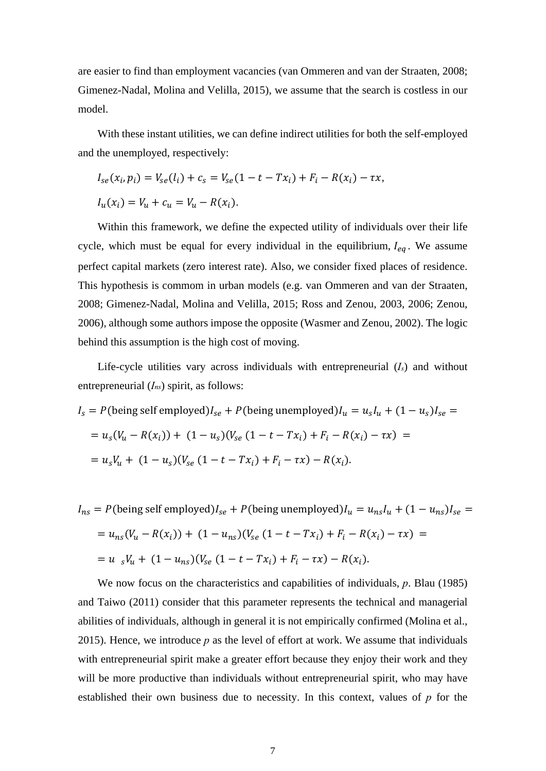are easier to find than employment vacancies (van Ommeren and van der Straaten, 2008; Gimenez-Nadal, Molina and Velilla, 2015), we assume that the search is costless in our model.

With these instant utilities, we can define indirect utilities for both the self-employed and the unemployed, respectively:

$$
I_{se}(x_i, p_i) = V_{se}(l_i) + c_s = V_{se}(1 - t - Tx_i) + F_i - R(x_i) - \tau x,
$$
  

$$
I_u(x_i) = V_u + c_u = V_u - R(x_i).
$$

Within this framework, we define the expected utility of individuals over their life cycle, which must be equal for every individual in the equilibrium,  $I_{eq}$ . We assume perfect capital markets (zero interest rate). Also, we consider fixed places of residence. This hypothesis is commom in urban models (e.g. van Ommeren and van der Straaten, 2008; Gimenez-Nadal, Molina and Velilla, 2015; Ross and Zenou, 2003, 2006; Zenou, 2006), although some authors impose the opposite (Wasmer and Zenou, 2002). The logic behind this assumption is the high cost of moving.

Life-cycle utilities vary across individuals with entrepreneurial (*Is*) and without entrepreneurial (*Ins*) spirit, as follows:

$$
I_s = P(\text{being self employed})I_{se} + P(\text{being unemployed})I_u = u_s I_u + (1 - u_s)I_{se} =
$$
  
=  $u_s(V_u - R(x_i)) + (1 - u_s)(V_{se} (1 - t - Tx_i) + F_i - R(x_i) - \tau x) =$   
=  $u_s V_u + (1 - u_s)(V_{se} (1 - t - Tx_i) + F_i - \tau x) - R(x_i).$ 

$$
I_{ns} = P(\text{being self employed})I_{se} + P(\text{being unemployed})I_{u} = u_{ns}I_{u} + (1 - u_{ns})I_{se} =
$$
  
=  $u_{ns}(V_{u} - R(x_{i})) + (1 - u_{ns})(V_{se}(1 - t - Tx_{i}) + F_{i} - R(x_{i}) - \tau x) =$   
=  $u_{s}V_{u} + (1 - u_{ns})(V_{se}(1 - t - Tx_{i}) + F_{i} - \tau x) - R(x_{i}).$ 

We now focus on the characteristics and capabilities of individuals, *p*. Blau (1985) and Taiwo (2011) consider that this parameter represents the technical and managerial abilities of individuals, although in general it is not empirically confirmed (Molina et al., 2015). Hence, we introduce *p* as the level of effort at work. We assume that individuals with entrepreneurial spirit make a greater effort because they enjoy their work and they will be more productive than individuals without entrepreneurial spirit, who may have established their own business due to necessity. In this context, values of *p* for the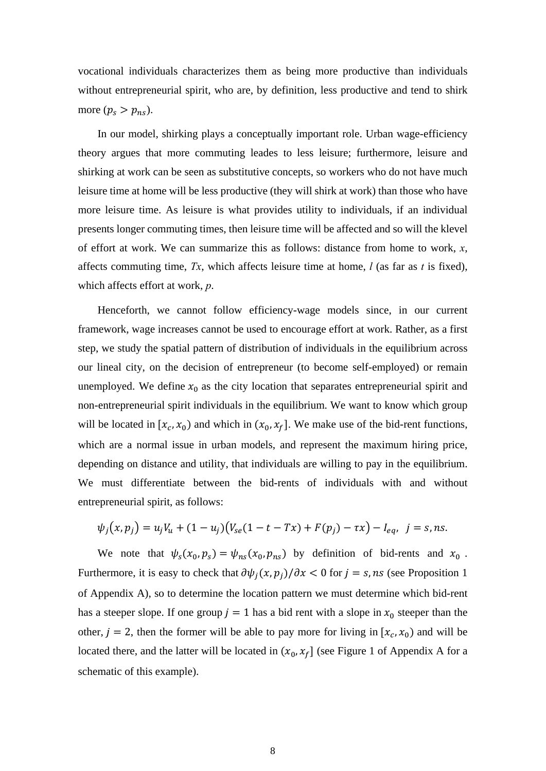vocational individuals characterizes them as being more productive than individuals without entrepreneurial spirit, who are, by definition, less productive and tend to shirk more  $(p_s > p_{ns}).$ 

In our model, shirking plays a conceptually important role. Urban wage-efficiency theory argues that more commuting leades to less leisure; furthermore, leisure and shirking at work can be seen as substitutive concepts, so workers who do not have much leisure time at home will be less productive (they will shirk at work) than those who have more leisure time. As leisure is what provides utility to individuals, if an individual presents longer commuting times, then leisure time will be affected and so will the klevel of effort at work. We can summarize this as follows: distance from home to work, *x*, affects commuting time, *Tx*, which affects leisure time at home, *l* (as far as *t* is fixed), which affects effort at work, *p*.

Henceforth, we cannot follow efficiency-wage models since, in our current framework, wage increases cannot be used to encourage effort at work. Rather, as a first step, we study the spatial pattern of distribution of individuals in the equilibrium across our lineal city, on the decision of entrepreneur (to become self-employed) or remain unemployed. We define  $x_0$  as the city location that separates entrepreneurial spirit and non-entrepreneurial spirit individuals in the equilibrium. We want to know which group will be located in  $[x_c, x_0)$  and which in  $(x_0, x_f]$ . We make use of the bid-rent functions, which are a normal issue in urban models, and represent the maximum hiring price, depending on distance and utility, that individuals are willing to pay in the equilibrium. We must differentiate between the bid-rents of individuals with and without entrepreneurial spirit, as follows:

$$
\psi_j(x, p_j) = u_j V_u + (1 - u_j) (V_{se}(1 - t - Tx) + F(p_j) - \tau x) - I_{eq}, \ \ j = s, ns.
$$

We note that  $\psi_s(x_0, p_s) = \psi_{ns}(x_0, p_{ns})$  by definition of bid-rents and  $x_0$ . Furthermore, it is easy to check that  $\partial \psi_j(x, p_j)/\partial x < 0$  for  $j = s$ , ns (see Proposition 1 of Appendix A), so to determine the location pattern we must determine which bid-rent has a steeper slope. If one group  $j = 1$  has a bid rent with a slope in  $x_0$  steeper than the other,  $j = 2$ , then the former will be able to pay more for living in  $[x_c, x_0)$  and will be located there, and the latter will be located in  $(x_0, x_f)$  (see Figure 1 of Appendix A for a schematic of this example).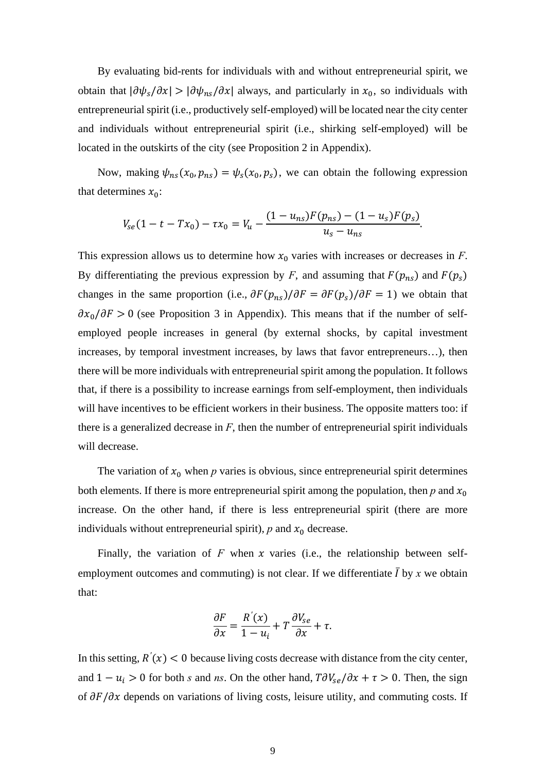By evaluating bid-rents for individuals with and without entrepreneurial spirit, we obtain that  $|\partial \psi_s/\partial x| > |\partial \psi_{ns}/\partial x|$  always, and particularly in  $x_0$ , so individuals with entrepreneurial spirit (i.e., productively self-employed) will be located near the city center and individuals without entrepreneurial spirit (i.e., shirking self-employed) will be located in the outskirts of the city (see Proposition 2 in Appendix).

Now, making  $\psi_{ns}(x_0, p_{ns}) = \psi_s(x_0, p_s)$ , we can obtain the following expression that determines  $x_0$ :

$$
V_{se}(1-t-Tx_0)-\tau x_0=V_u-\frac{(1-u_{ns})F(p_{ns})-(1-u_s)F(p_s)}{u_s-u_{ns}}.
$$

This expression allows us to determine how  $x_0$  varies with increases or decreases in *F*. By differentiating the previous expression by *F*, and assuming that  $F(p_{ns})$  and  $F(p_s)$ changes in the same proportion (i.e.,  $\partial F(p_{ns})/\partial F = \partial F(p_s)/\partial F = 1$ ) we obtain that  $\partial x_0/\partial F > 0$  (see Proposition 3 in Appendix). This means that if the number of selfemployed people increases in general (by external shocks, by capital investment increases, by temporal investment increases, by laws that favor entrepreneurs…), then there will be more individuals with entrepreneurial spirit among the population. It follows that, if there is a possibility to increase earnings from self-employment, then individuals will have incentives to be efficient workers in their business. The opposite matters too: if there is a generalized decrease in  $F$ , then the number of entrepreneurial spirit individuals will decrease.

The variation of  $x_0$  when p varies is obvious, since entrepreneurial spirit determines both elements. If there is more entrepreneurial spirit among the population, then  $p$  and  $x_0$ increase. On the other hand, if there is less entrepreneurial spirit (there are more individuals without entrepreneurial spirit),  $p$  and  $x_0$  decrease.

Finally, the variation of  $F$  when  $x$  varies (i.e., the relationship between selfemployment outcomes and commuting) is not clear. If we differentiate  $\overline{I}$  by  $x$  we obtain that:

$$
\frac{\partial F}{\partial x} = \frac{R'(x)}{1 - u_i} + T \frac{\partial V_{se}}{\partial x} + \tau.
$$

In this setting,  $R'(x) < 0$  because living costs decrease with distance from the city center, and  $1 - u_i > 0$  for both *s* and *ns*. On the other hand,  $T \partial V_{se} / \partial x + \tau > 0$ . Then, the sign of  $\partial F/\partial x$  depends on variations of living costs, leisure utility, and commuting costs. If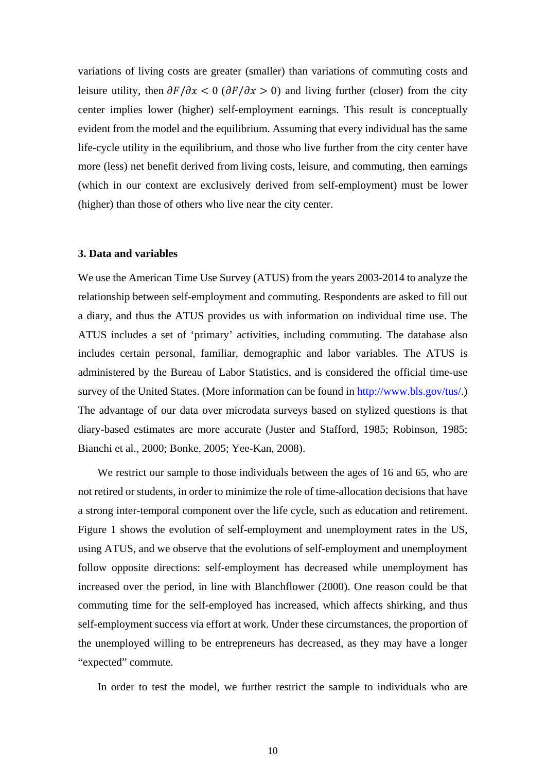variations of living costs are greater (smaller) than variations of commuting costs and leisure utility, then  $\partial F/\partial x < 0$  ( $\partial F/\partial x > 0$ ) and living further (closer) from the city center implies lower (higher) self-employment earnings. This result is conceptually evident from the model and the equilibrium. Assuming that every individual has the same life-cycle utility in the equilibrium, and those who live further from the city center have more (less) net benefit derived from living costs, leisure, and commuting, then earnings (which in our context are exclusively derived from self-employment) must be lower (higher) than those of others who live near the city center.

#### **3. Data and variables**

We use the American Time Use Survey (ATUS) from the years 2003-2014 to analyze the relationship between self-employment and commuting. Respondents are asked to fill out a diary, and thus the ATUS provides us with information on individual time use. The ATUS includes a set of 'primary' activities, including commuting. The database also includes certain personal, familiar, demographic and labor variables. The ATUS is administered by the Bureau of Labor Statistics, and is considered the official time-use survey of the United States. (More information can be found in http://www.bls.gov/tus/.) The advantage of our data over microdata surveys based on stylized questions is that diary-based estimates are more accurate (Juster and Stafford, 1985; Robinson, 1985; Bianchi et al., 2000; Bonke, 2005; Yee-Kan, 2008).

We restrict our sample to those individuals between the ages of 16 and 65, who are not retired or students, in order to minimize the role of time-allocation decisions that have a strong inter-temporal component over the life cycle, such as education and retirement. Figure 1 shows the evolution of self-employment and unemployment rates in the US, using ATUS, and we observe that the evolutions of self-employment and unemployment follow opposite directions: self-employment has decreased while unemployment has increased over the period, in line with Blanchflower (2000). One reason could be that commuting time for the self-employed has increased, which affects shirking, and thus self-employment success via effort at work. Under these circumstances, the proportion of the unemployed willing to be entrepreneurs has decreased, as they may have a longer "expected" commute.

In order to test the model, we further restrict the sample to individuals who are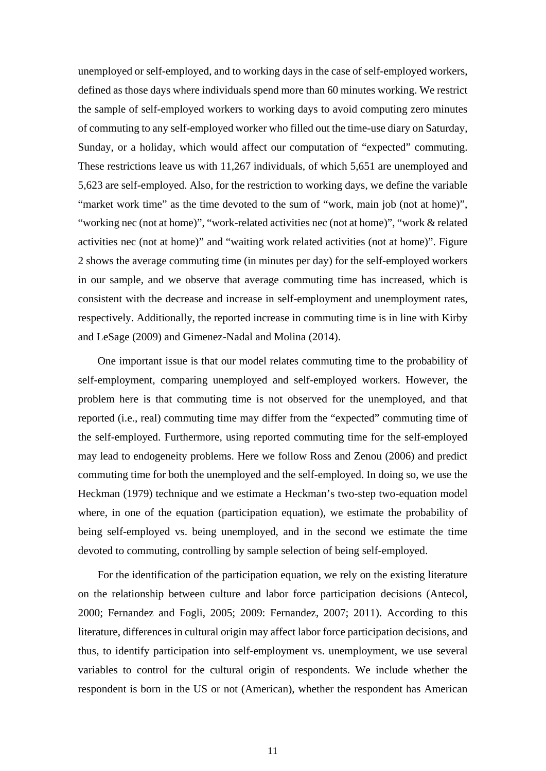unemployed or self-employed, and to working days in the case of self-employed workers, defined as those days where individuals spend more than 60 minutes working. We restrict the sample of self-employed workers to working days to avoid computing zero minutes of commuting to any self-employed worker who filled out the time-use diary on Saturday, Sunday, or a holiday, which would affect our computation of "expected" commuting. These restrictions leave us with 11,267 individuals, of which 5,651 are unemployed and 5,623 are self-employed. Also, for the restriction to working days, we define the variable "market work time" as the time devoted to the sum of "work, main job (not at home)", "working nec (not at home)", "work-related activities nec (not at home)", "work & related activities nec (not at home)" and "waiting work related activities (not at home)". Figure 2 shows the average commuting time (in minutes per day) for the self-employed workers in our sample, and we observe that average commuting time has increased, which is consistent with the decrease and increase in self-employment and unemployment rates, respectively. Additionally, the reported increase in commuting time is in line with Kirby and LeSage (2009) and Gimenez-Nadal and Molina (2014).

One important issue is that our model relates commuting time to the probability of self-employment, comparing unemployed and self-employed workers. However, the problem here is that commuting time is not observed for the unemployed, and that reported (i.e., real) commuting time may differ from the "expected" commuting time of the self-employed. Furthermore, using reported commuting time for the self-employed may lead to endogeneity problems. Here we follow Ross and Zenou (2006) and predict commuting time for both the unemployed and the self-employed. In doing so, we use the Heckman (1979) technique and we estimate a Heckman's two-step two-equation model where, in one of the equation (participation equation), we estimate the probability of being self-employed vs. being unemployed, and in the second we estimate the time devoted to commuting, controlling by sample selection of being self-employed.

For the identification of the participation equation, we rely on the existing literature on the relationship between culture and labor force participation decisions (Antecol, 2000; Fernandez and Fogli, 2005; 2009: Fernandez, 2007; 2011). According to this literature, differences in cultural origin may affect labor force participation decisions, and thus, to identify participation into self-employment vs. unemployment, we use several variables to control for the cultural origin of respondents. We include whether the respondent is born in the US or not (American), whether the respondent has American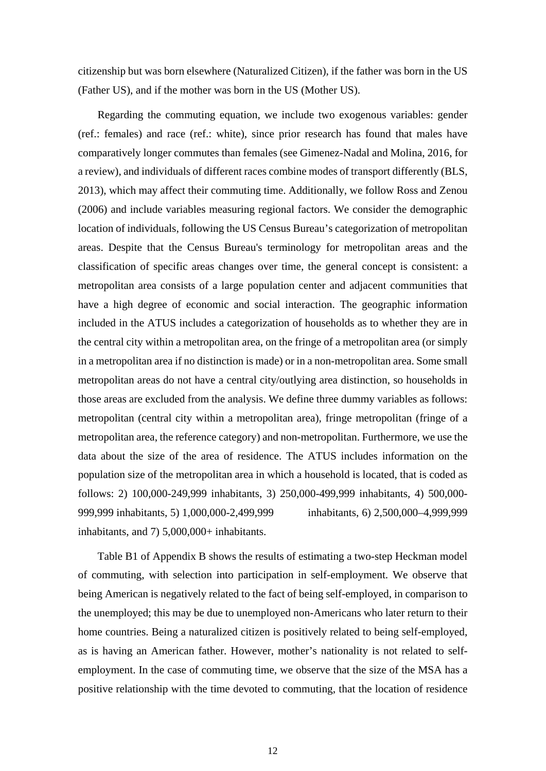citizenship but was born elsewhere (Naturalized Citizen), if the father was born in the US (Father US), and if the mother was born in the US (Mother US).

Regarding the commuting equation, we include two exogenous variables: gender (ref.: females) and race (ref.: white), since prior research has found that males have comparatively longer commutes than females (see Gimenez-Nadal and Molina, 2016, for a review), and individuals of different races combine modes of transport differently (BLS, 2013), which may affect their commuting time. Additionally, we follow Ross and Zenou (2006) and include variables measuring regional factors. We consider the demographic location of individuals, following the US Census Bureau's categorization of metropolitan areas. Despite that the Census Bureau's terminology for metropolitan areas and the classification of specific areas changes over time, the general concept is consistent: a metropolitan area consists of a large population center and adjacent communities that have a high degree of economic and social interaction. The geographic information included in the ATUS includes a categorization of households as to whether they are in the central city within a metropolitan area, on the fringe of a metropolitan area (or simply in a metropolitan area if no distinction is made) or in a non-metropolitan area. Some small metropolitan areas do not have a central city/outlying area distinction, so households in those areas are excluded from the analysis. We define three dummy variables as follows: metropolitan (central city within a metropolitan area), fringe metropolitan (fringe of a metropolitan area, the reference category) and non-metropolitan. Furthermore, we use the data about the size of the area of residence. The ATUS includes information on the population size of the metropolitan area in which a household is located, that is coded as follows: 2) 100,000-249,999 inhabitants, 3) 250,000-499,999 inhabitants, 4) 500,000- 999,999 inhabitants, 5) 1,000,000-2,499,999 inhabitants, 6) 2,500,000–4,999,999 inhabitants, and 7) 5,000,000+ inhabitants.

Table B1 of Appendix B shows the results of estimating a two-step Heckman model of commuting, with selection into participation in self-employment. We observe that being American is negatively related to the fact of being self-employed, in comparison to the unemployed; this may be due to unemployed non-Americans who later return to their home countries. Being a naturalized citizen is positively related to being self-employed, as is having an American father. However, mother's nationality is not related to selfemployment. In the case of commuting time, we observe that the size of the MSA has a positive relationship with the time devoted to commuting, that the location of residence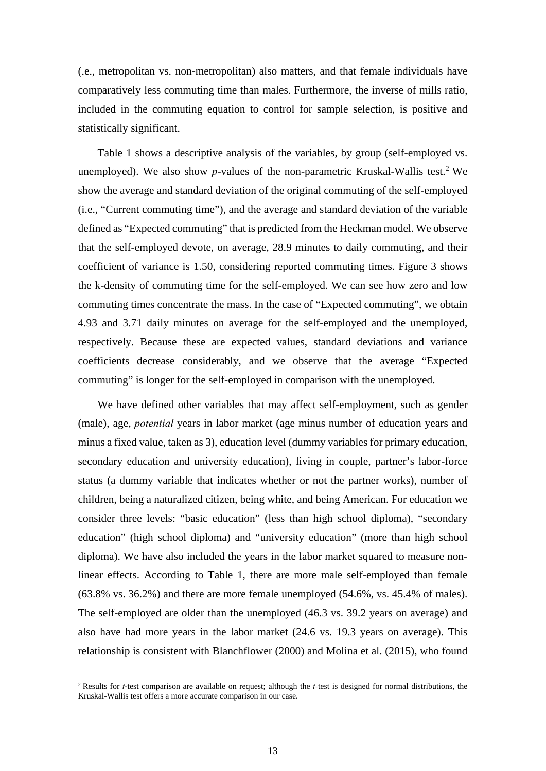(.e., metropolitan vs. non-metropolitan) also matters, and that female individuals have comparatively less commuting time than males. Furthermore, the inverse of mills ratio, included in the commuting equation to control for sample selection, is positive and statistically significant.

Table 1 shows a descriptive analysis of the variables, by group (self-employed vs. unemployed). We also show  $p$ -values of the non-parametric Kruskal-Wallis test.<sup>2</sup> We show the average and standard deviation of the original commuting of the self-employed (i.e., "Current commuting time"), and the average and standard deviation of the variable defined as "Expected commuting" that is predicted from the Heckman model. We observe that the self-employed devote, on average, 28.9 minutes to daily commuting, and their coefficient of variance is 1.50, considering reported commuting times. Figure 3 shows the k-density of commuting time for the self-employed. We can see how zero and low commuting times concentrate the mass. In the case of "Expected commuting", we obtain 4.93 and 3.71 daily minutes on average for the self-employed and the unemployed, respectively. Because these are expected values, standard deviations and variance coefficients decrease considerably, and we observe that the average "Expected commuting" is longer for the self-employed in comparison with the unemployed.

We have defined other variables that may affect self-employment, such as gender (male), age, *potential* years in labor market (age minus number of education years and minus a fixed value, taken as 3), education level (dummy variables for primary education, secondary education and university education), living in couple, partner's labor-force status (a dummy variable that indicates whether or not the partner works), number of children, being a naturalized citizen, being white, and being American. For education we consider three levels: "basic education" (less than high school diploma), "secondary education" (high school diploma) and "university education" (more than high school diploma). We have also included the years in the labor market squared to measure nonlinear effects. According to Table 1, there are more male self-employed than female (63.8% vs. 36.2%) and there are more female unemployed (54.6%, vs. 45.4% of males). The self-employed are older than the unemployed (46.3 vs. 39.2 years on average) and also have had more years in the labor market (24.6 vs. 19.3 years on average). This relationship is consistent with Blanchflower (2000) and Molina et al. (2015), who found

<sup>2</sup> Results for *t*-test comparison are available on request; although the *t-*test is designed for normal distributions, the Kruskal-Wallis test offers a more accurate comparison in our case.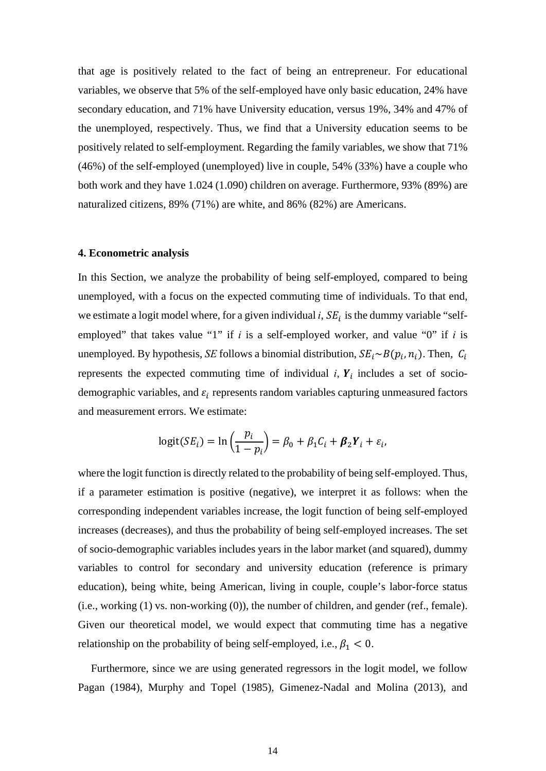that age is positively related to the fact of being an entrepreneur. For educational variables, we observe that 5% of the self-employed have only basic education, 24% have secondary education, and 71% have University education, versus 19%, 34% and 47% of the unemployed, respectively. Thus, we find that a University education seems to be positively related to self-employment. Regarding the family variables, we show that 71% (46%) of the self-employed (unemployed) live in couple, 54% (33%) have a couple who both work and they have 1.024 (1.090) children on average. Furthermore, 93% (89%) are naturalized citizens, 89% (71%) are white, and 86% (82%) are Americans.

#### **4. Econometric analysis**

In this Section, we analyze the probability of being self-employed, compared to being unemployed, with a focus on the expected commuting time of individuals. To that end, we estimate a logit model where, for a given individual  $i$ ,  $SE_i$  is the dummy variable "selfemployed" that takes value "1" if *i* is a self-employed worker, and value "0" if *i* is unemployed. By hypothesis, *SE* follows a binomial distribution,  $SE_i \sim B(p_i, n_i)$ . Then,  $C_i$ represents the expected commuting time of individual  $i$ ,  $Y_i$  includes a set of sociodemographic variables, and  $\varepsilon_i$  represents random variables capturing unmeasured factors and measurement errors. We estimate:

$$
logit(SEi) = ln\left(\frac{p_i}{1-p_i}\right) = \beta_0 + \beta_1 C_i + \beta_2 Y_i + \varepsilon_i,
$$

where the logit function is directly related to the probability of being self-employed. Thus, if a parameter estimation is positive (negative), we interpret it as follows: when the corresponding independent variables increase, the logit function of being self-employed increases (decreases), and thus the probability of being self-employed increases. The set of socio-demographic variables includes years in the labor market (and squared), dummy variables to control for secondary and university education (reference is primary education), being white, being American, living in couple, couple's labor-force status (i.e., working (1) vs. non-working (0)), the number of children, and gender (ref., female). Given our theoretical model, we would expect that commuting time has a negative relationship on the probability of being self-employed, i.e.,  $\beta_1 < 0$ .

Furthermore, since we are using generated regressors in the logit model, we follow Pagan (1984), Murphy and Topel (1985), Gimenez-Nadal and Molina (2013), and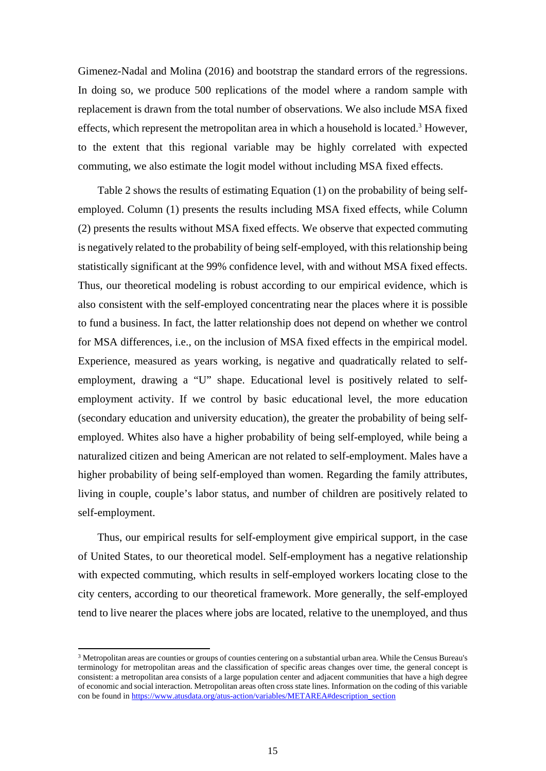Gimenez-Nadal and Molina (2016) and bootstrap the standard errors of the regressions. In doing so, we produce 500 replications of the model where a random sample with replacement is drawn from the total number of observations. We also include MSA fixed effects, which represent the metropolitan area in which a household is located.<sup>3</sup> However, to the extent that this regional variable may be highly correlated with expected commuting, we also estimate the logit model without including MSA fixed effects.

Table 2 shows the results of estimating Equation (1) on the probability of being selfemployed. Column (1) presents the results including MSA fixed effects, while Column (2) presents the results without MSA fixed effects. We observe that expected commuting is negatively related to the probability of being self-employed, with this relationship being statistically significant at the 99% confidence level, with and without MSA fixed effects. Thus, our theoretical modeling is robust according to our empirical evidence, which is also consistent with the self-employed concentrating near the places where it is possible to fund a business. In fact, the latter relationship does not depend on whether we control for MSA differences, i.e., on the inclusion of MSA fixed effects in the empirical model. Experience, measured as years working, is negative and quadratically related to selfemployment, drawing a "U" shape. Educational level is positively related to selfemployment activity. If we control by basic educational level, the more education (secondary education and university education), the greater the probability of being selfemployed. Whites also have a higher probability of being self-employed, while being a naturalized citizen and being American are not related to self-employment. Males have a higher probability of being self-employed than women. Regarding the family attributes, living in couple, couple's labor status, and number of children are positively related to self-employment.

Thus, our empirical results for self-employment give empirical support, in the case of United States, to our theoretical model. Self-employment has a negative relationship with expected commuting, which results in self-employed workers locating close to the city centers, according to our theoretical framework. More generally, the self-employed tend to live nearer the places where jobs are located, relative to the unemployed, and thus

 $3$  Metropolitan areas are counties or groups of counties centering on a substantial urban area. While the Census Bureau's terminology for metropolitan areas and the classification of specific areas changes over time, the general concept is consistent: a metropolitan area consists of a large population center and adjacent communities that have a high degree of economic and social interaction. Metropolitan areas often cross state lines. Information on the coding of this variable con be found in https://www.atusdata.org/atus-action/variables/METAREA#description\_section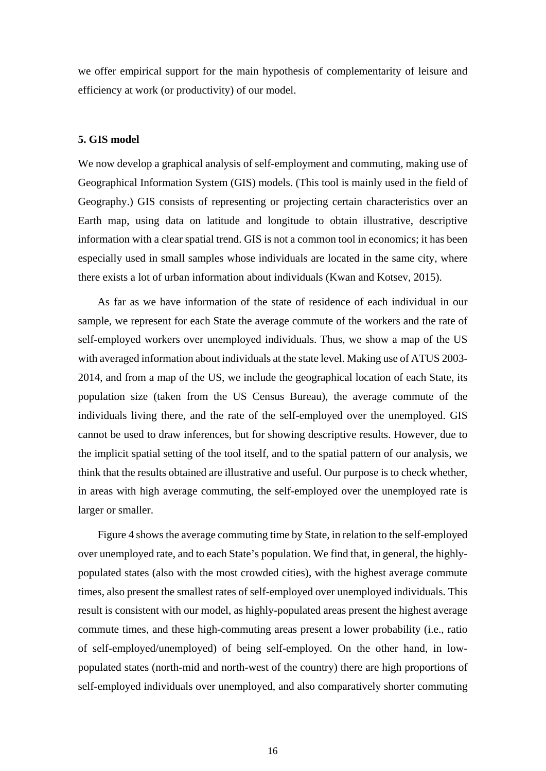we offer empirical support for the main hypothesis of complementarity of leisure and efficiency at work (or productivity) of our model.

#### **5. GIS model**

We now develop a graphical analysis of self-employment and commuting, making use of Geographical Information System (GIS) models. (This tool is mainly used in the field of Geography.) GIS consists of representing or projecting certain characteristics over an Earth map, using data on latitude and longitude to obtain illustrative, descriptive information with a clear spatial trend. GIS is not a common tool in economics; it has been especially used in small samples whose individuals are located in the same city, where there exists a lot of urban information about individuals (Kwan and Kotsev, 2015).

As far as we have information of the state of residence of each individual in our sample, we represent for each State the average commute of the workers and the rate of self-employed workers over unemployed individuals. Thus, we show a map of the US with averaged information about individuals at the state level. Making use of ATUS 2003- 2014, and from a map of the US, we include the geographical location of each State, its population size (taken from the US Census Bureau), the average commute of the individuals living there, and the rate of the self-employed over the unemployed. GIS cannot be used to draw inferences, but for showing descriptive results. However, due to the implicit spatial setting of the tool itself, and to the spatial pattern of our analysis, we think that the results obtained are illustrative and useful. Our purpose is to check whether, in areas with high average commuting, the self-employed over the unemployed rate is larger or smaller.

Figure 4 shows the average commuting time by State, in relation to the self-employed over unemployed rate, and to each State's population. We find that, in general, the highlypopulated states (also with the most crowded cities), with the highest average commute times, also present the smallest rates of self-employed over unemployed individuals. This result is consistent with our model, as highly-populated areas present the highest average commute times, and these high-commuting areas present a lower probability (i.e., ratio of self-employed/unemployed) of being self-employed. On the other hand, in lowpopulated states (north-mid and north-west of the country) there are high proportions of self-employed individuals over unemployed, and also comparatively shorter commuting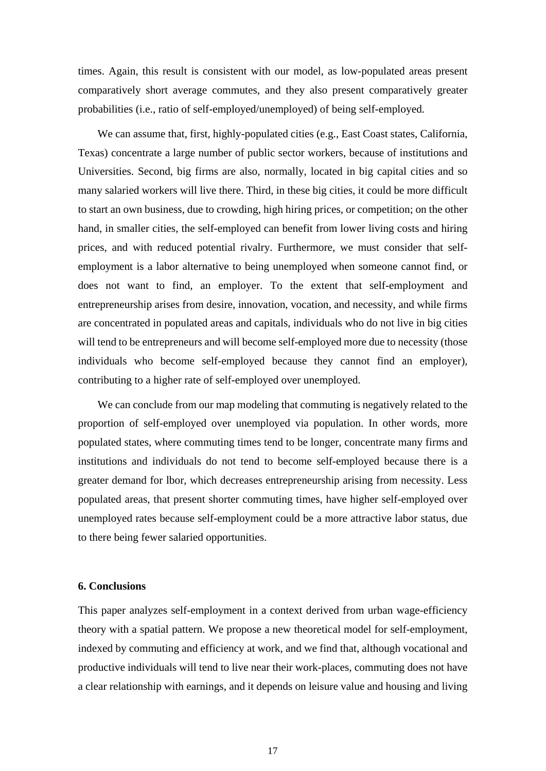times. Again, this result is consistent with our model, as low-populated areas present comparatively short average commutes, and they also present comparatively greater probabilities (i.e., ratio of self-employed/unemployed) of being self-employed.

We can assume that, first, highly-populated cities (e.g., East Coast states, California, Texas) concentrate a large number of public sector workers, because of institutions and Universities. Second, big firms are also, normally, located in big capital cities and so many salaried workers will live there. Third, in these big cities, it could be more difficult to start an own business, due to crowding, high hiring prices, or competition; on the other hand, in smaller cities, the self-employed can benefit from lower living costs and hiring prices, and with reduced potential rivalry. Furthermore, we must consider that selfemployment is a labor alternative to being unemployed when someone cannot find, or does not want to find, an employer. To the extent that self-employment and entrepreneurship arises from desire, innovation, vocation, and necessity, and while firms are concentrated in populated areas and capitals, individuals who do not live in big cities will tend to be entrepreneurs and will become self-employed more due to necessity (those individuals who become self-employed because they cannot find an employer), contributing to a higher rate of self-employed over unemployed.

We can conclude from our map modeling that commuting is negatively related to the proportion of self-employed over unemployed via population. In other words, more populated states, where commuting times tend to be longer, concentrate many firms and institutions and individuals do not tend to become self-employed because there is a greater demand for lbor, which decreases entrepreneurship arising from necessity. Less populated areas, that present shorter commuting times, have higher self-employed over unemployed rates because self-employment could be a more attractive labor status, due to there being fewer salaried opportunities.

#### **6. Conclusions**

This paper analyzes self-employment in a context derived from urban wage-efficiency theory with a spatial pattern. We propose a new theoretical model for self-employment, indexed by commuting and efficiency at work, and we find that, although vocational and productive individuals will tend to live near their work-places, commuting does not have a clear relationship with earnings, and it depends on leisure value and housing and living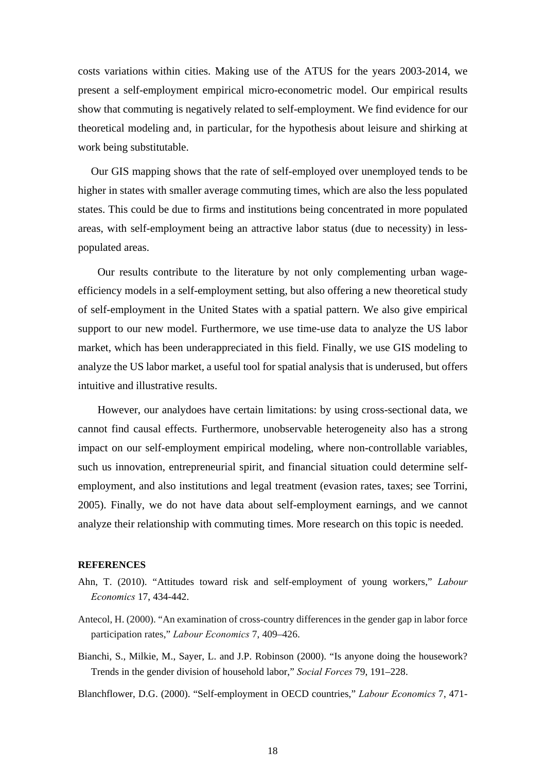costs variations within cities. Making use of the ATUS for the years 2003-2014, we present a self-employment empirical micro-econometric model. Our empirical results show that commuting is negatively related to self-employment. We find evidence for our theoretical modeling and, in particular, for the hypothesis about leisure and shirking at work being substitutable.

Our GIS mapping shows that the rate of self-employed over unemployed tends to be higher in states with smaller average commuting times, which are also the less populated states. This could be due to firms and institutions being concentrated in more populated areas, with self-employment being an attractive labor status (due to necessity) in lesspopulated areas.

Our results contribute to the literature by not only complementing urban wageefficiency models in a self-employment setting, but also offering a new theoretical study of self-employment in the United States with a spatial pattern. We also give empirical support to our new model. Furthermore, we use time-use data to analyze the US labor market, which has been underappreciated in this field. Finally, we use GIS modeling to analyze the US labor market, a useful tool for spatial analysis that is underused, but offers intuitive and illustrative results.

However, our analydoes have certain limitations: by using cross-sectional data, we cannot find causal effects. Furthermore, unobservable heterogeneity also has a strong impact on our self-employment empirical modeling, where non-controllable variables, such us innovation, entrepreneurial spirit, and financial situation could determine selfemployment, and also institutions and legal treatment (evasion rates, taxes; see Torrini, 2005). Finally, we do not have data about self-employment earnings, and we cannot analyze their relationship with commuting times. More research on this topic is needed.

#### **REFERENCES**

- Ahn, T. (2010). "Attitudes toward risk and self-employment of young workers," *Labour Economics* 17, 434-442.
- Antecol, H. (2000). "An examination of cross-country differences in the gender gap in labor force participation rates," *Labour Economics* 7, 409–426.
- Bianchi, S., Milkie, M., Sayer, L. and J.P. Robinson (2000). "Is anyone doing the housework? Trends in the gender division of household labor," *Social Forces* 79, 191–228.

Blanchflower, D.G. (2000). "Self-employment in OECD countries," *Labour Economics* 7, 471-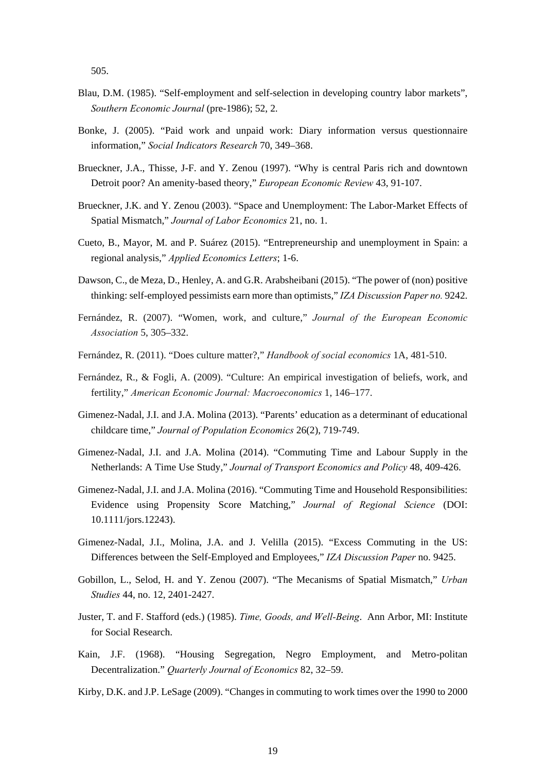505.

- Blau, D.M. (1985). "Self-employment and self-selection in developing country labor markets", *Southern Economic Journal* (pre-1986); 52, 2.
- Bonke, J. (2005). "Paid work and unpaid work: Diary information versus questionnaire information," *Social Indicators Research* 70, 349–368.
- Brueckner, J.A., Thisse, J-F. and Y. Zenou (1997). "Why is central Paris rich and downtown Detroit poor? An amenity-based theory," *European Economic Review* 43, 91-107.
- Brueckner, J.K. and Y. Zenou (2003). "Space and Unemployment: The Labor-Market Effects of Spatial Mismatch," *Journal of Labor Economics* 21, no. 1.
- Cueto, B., Mayor, M. and P. Suárez (2015). "Entrepreneurship and unemployment in Spain: a regional analysis," *Applied Economics Letters*; 1-6.
- Dawson, C., de Meza, D., Henley, A. and G.R. Arabsheibani (2015). "The power of (non) positive thinking: self-employed pessimists earn more than optimists," *IZA Discussion Paper no.* 9242.
- Fernández, R. (2007). "Women, work, and culture," *Journal of the European Economic Association* 5, 305–332.
- Fernández, R. (2011). "Does culture matter?," *Handbook of social economics* 1A, 481-510.
- Fernández, R., & Fogli, A. (2009). "Culture: An empirical investigation of beliefs, work, and fertility," *American Economic Journal: Macroeconomics* 1, 146–177.
- Gimenez-Nadal, J.I. and J.A. Molina (2013). "Parents' education as a determinant of educational childcare time," *Journal of Population Economics* 26(2), 719-749.
- Gimenez-Nadal, J.I. and J.A. Molina (2014). "Commuting Time and Labour Supply in the Netherlands: A Time Use Study," *Journal of Transport Economics and Policy* 48, 409-426.
- Gimenez-Nadal, J.I. and J.A. Molina (2016). "Commuting Time and Household Responsibilities: Evidence using Propensity Score Matching," *Journal of Regional Science* (DOI: 10.1111/jors.12243).
- Gimenez-Nadal, J.I., Molina, J.A. and J. Velilla (2015). "Excess Commuting in the US: Differences between the Self-Employed and Employees," *IZA Discussion Paper* no. 9425.
- Gobillon, L., Selod, H. and Y. Zenou (2007). "The Mecanisms of Spatial Mismatch," *Urban Studies* 44, no. 12, 2401-2427.
- Juster, T. and F. Stafford (eds.) (1985). *Time, Goods, and Well-Being*. Ann Arbor, MI: Institute for Social Research.
- Kain, J.F. (1968). "Housing Segregation, Negro Employment, and Metro-politan Decentralization." *Quarterly Journal of Economics* 82, 32–59.
- Kirby, D.K. and J.P. LeSage (2009). "Changes in commuting to work times over the 1990 to 2000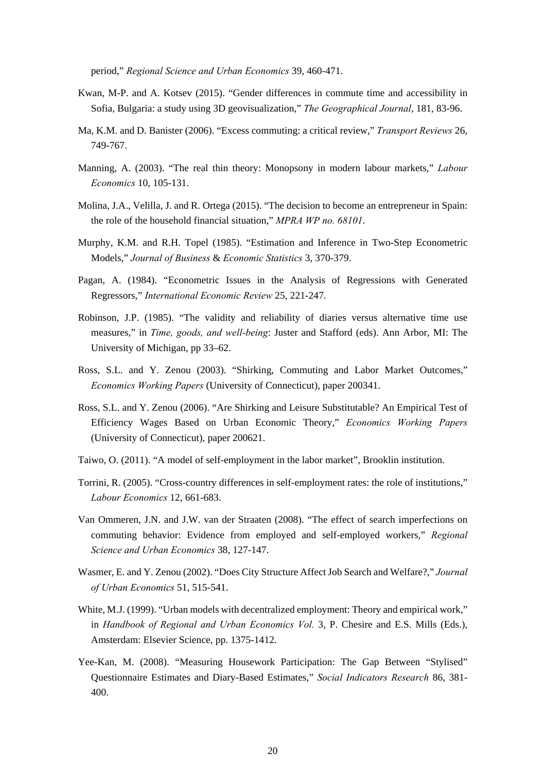period," *Regional Science and Urban Economics* 39, 460-471.

- Kwan, M-P. and A. Kotsev (2015). "Gender differences in commute time and accessibility in Sofia, Bulgaria: a study using 3D geovisualization," *The Geographical Journal*, 181, 83-96.
- Ma, K.M. and D. Banister (2006). "Excess commuting: a critical review," *Transport Reviews* 26, 749-767.
- Manning, A. (2003). "The real thin theory: Monopsony in modern labour markets," *Labour Economics* 10, 105-131.
- Molina, J.A., Velilla, J. and R. Ortega (2015). "The decision to become an entrepreneur in Spain: the role of the household financial situation," *MPRA WP no. 68101*.
- Murphy, K.M. and R.H. Topel (1985). "Estimation and Inference in Two-Step Econometric Models," *Journal of Business* & *Economic Statistics* 3, 370-379.
- Pagan, A. (1984). "Econometric Issues in the Analysis of Regressions with Generated Regressors," *International Economic Review* 25, 221-247.
- Robinson, J.P. (1985). "The validity and reliability of diaries versus alternative time use measures," in *Time, goods, and well-being*: Juster and Stafford (eds). Ann Arbor, MI: The University of Michigan, pp 33–62.
- Ross, S.L. and Y. Zenou (2003). "Shirking, Commuting and Labor Market Outcomes," *Economics Working Papers* (University of Connecticut), paper 200341.
- Ross, S.L. and Y. Zenou (2006). "Are Shirking and Leisure Substitutable? An Empirical Test of Efficiency Wages Based on Urban Economic Theory," *Economics Working Papers*  (University of Connecticut), paper 200621.
- Taiwo, O. (2011). "A model of self-employment in the labor market", Brooklin institution.
- Torrini, R. (2005). "Cross-country differences in self-employment rates: the role of institutions," *Labour Economics* 12, 661-683.
- Van Ommeren, J.N. and J.W. van der Straaten (2008). "The effect of search imperfections on commuting behavior: Evidence from employed and self-employed workers," *Regional Science and Urban Economics* 38, 127-147.
- Wasmer, E. and Y. Zenou (2002). "Does City Structure Affect Job Search and Welfare?," *Journal of Urban Economics* 51, 515-541.
- White, M.J. (1999). "Urban models with decentralized employment: Theory and empirical work," in *Handbook of Regional and Urban Economics Vol.* 3, P. Chesire and E.S. Mills (Eds.), Amsterdam: Elsevier Science, pp. 1375-1412.
- Yee-Kan, M. (2008). "Measuring Housework Participation: The Gap Between "Stylised" Questionnaire Estimates and Diary-Based Estimates," *Social Indicators Research* 86, 381- 400.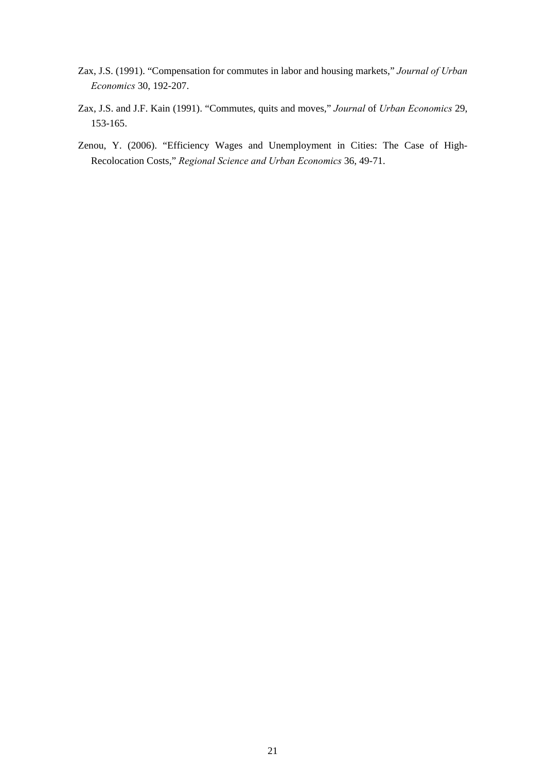- Zax, J.S. (1991). "Compensation for commutes in labor and housing markets," *Journal of Urban Economics* 30, 192-207.
- Zax, J.S. and J.F. Kain (1991). "Commutes, quits and moves," *Journal* of *Urban Economics* 29, 153-165.
- Zenou, Y. (2006). "Efficiency Wages and Unemployment in Cities: The Case of High-Recolocation Costs," *Regional Science and Urban Economics* 36, 49-71.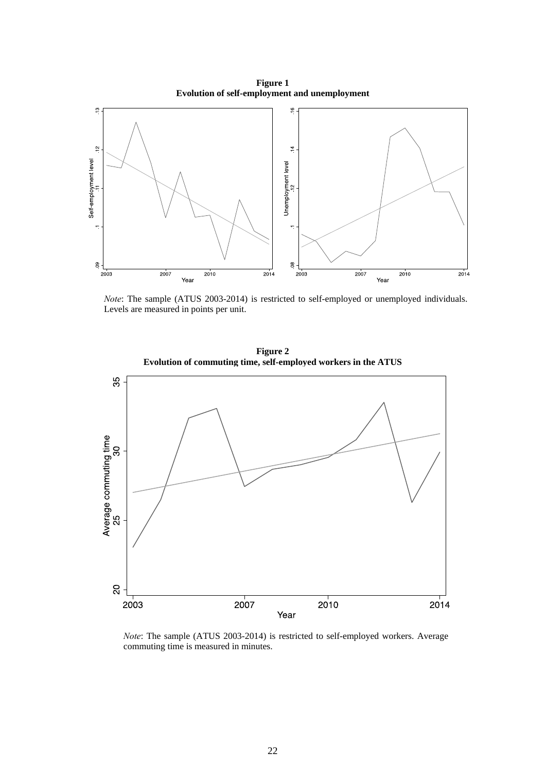**Figure 1 Evolution of self-employment and unemployment** 



*Note*: The sample (ATUS 2003-2014) is restricted to self-employed or unemployed individuals. Levels are measured in points per unit.



*Note*: The sample (ATUS 2003-2014) is restricted to self-employed workers. Average commuting time is measured in minutes.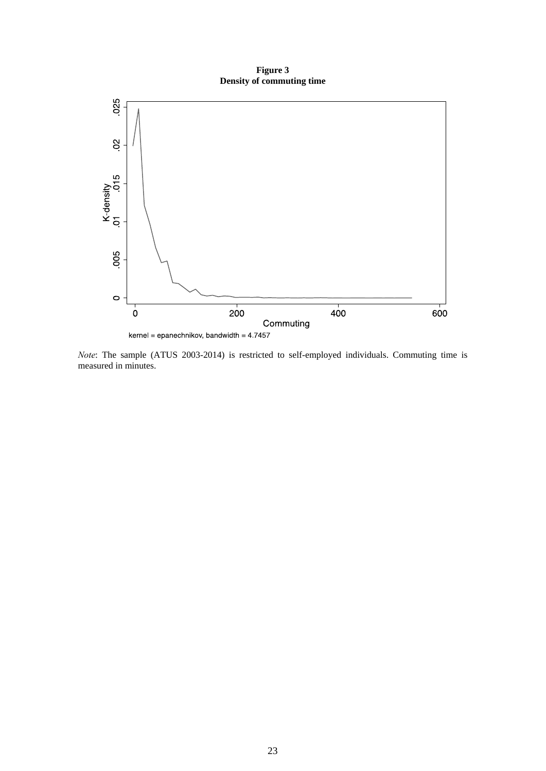**Figure 3 Density of commuting time** 



*Note*: The sample (ATUS 2003-2014) is restricted to self-employed individuals. Commuting time is measured in minutes.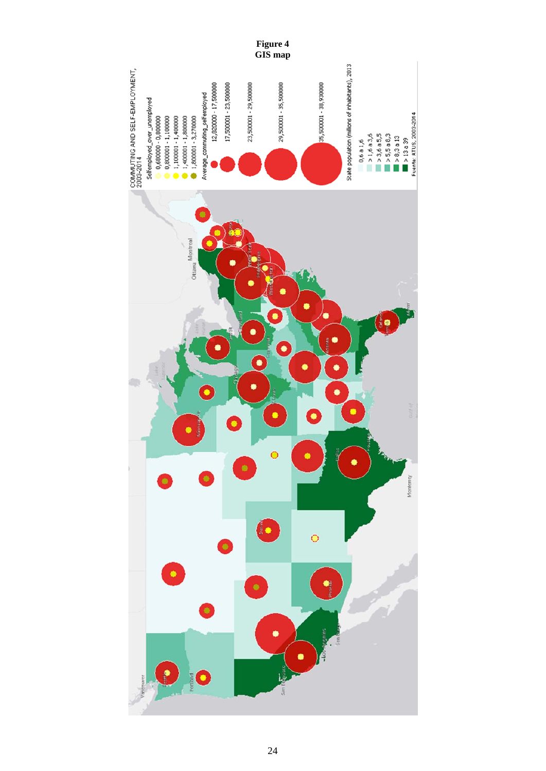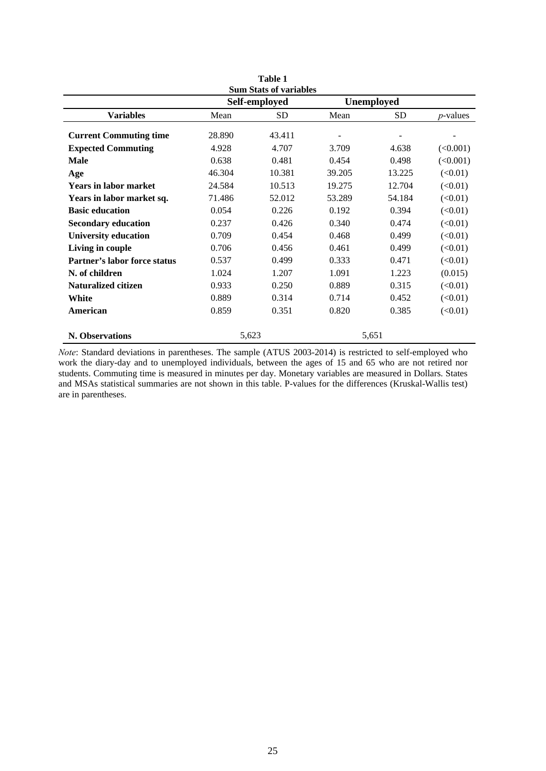| Table 1<br><b>Sum Stats of variables</b> |        |               |        |                   |             |  |  |  |
|------------------------------------------|--------|---------------|--------|-------------------|-------------|--|--|--|
|                                          |        | Self-employed |        | <b>Unemployed</b> |             |  |  |  |
| <b>Variables</b>                         | Mean   | <b>SD</b>     | Mean   | SD                | $p$ -values |  |  |  |
|                                          |        |               |        |                   |             |  |  |  |
| <b>Current Commuting time</b>            | 28.890 | 43.411        |        |                   |             |  |  |  |
| <b>Expected Commuting</b>                | 4.928  | 4.707         | 3.709  | 4.638             | (<0.001)    |  |  |  |
| <b>Male</b>                              | 0.638  | 0.481         | 0.454  | 0.498             | (<0.001)    |  |  |  |
| Age                                      | 46.304 | 10.381        | 39.205 | 13.225            | (<0.01)     |  |  |  |
| <b>Years in labor market</b>             | 24.584 | 10.513        | 19.275 | 12.704            | (<0.01)     |  |  |  |
| Years in labor market sq.                | 71.486 | 52.012        | 53.289 | 54.184            | (<0.01)     |  |  |  |
| <b>Basic education</b>                   | 0.054  | 0.226         | 0.192  | 0.394             | (<0.01)     |  |  |  |
| <b>Secondary education</b>               | 0.237  | 0.426         | 0.340  | 0.474             | (<0.01)     |  |  |  |
| <b>University education</b>              | 0.709  | 0.454         | 0.468  | 0.499             | (<0.01)     |  |  |  |
| Living in couple                         | 0.706  | 0.456         | 0.461  | 0.499             | (<0.01)     |  |  |  |
| <b>Partner's labor force status</b>      | 0.537  | 0.499         | 0.333  | 0.471             | (<0.01)     |  |  |  |
| N. of children                           | 1.024  | 1.207         | 1.091  | 1.223             | (0.015)     |  |  |  |
| <b>Naturalized citizen</b>               | 0.933  | 0.250         | 0.889  | 0.315             | (<0.01)     |  |  |  |
| White                                    | 0.889  | 0.314         | 0.714  | 0.452             | (<0.01)     |  |  |  |
| American                                 | 0.859  | 0.351         | 0.820  | 0.385             | (<0.01)     |  |  |  |
|                                          |        |               |        |                   |             |  |  |  |
| <b>N. Observations</b>                   | 5,623  |               |        | 5,651             |             |  |  |  |

*Note*: Standard deviations in parentheses. The sample (ATUS 2003-2014) is restricted to self-employed who work the diary-day and to unemployed individuals, between the ages of 15 and 65 who are not retired nor students. Commuting time is measured in minutes per day. Monetary variables are measured in Dollars. States and MSAs statistical summaries are not shown in this table. P-values for the differences (Kruskal-Wallis test) are in parentheses.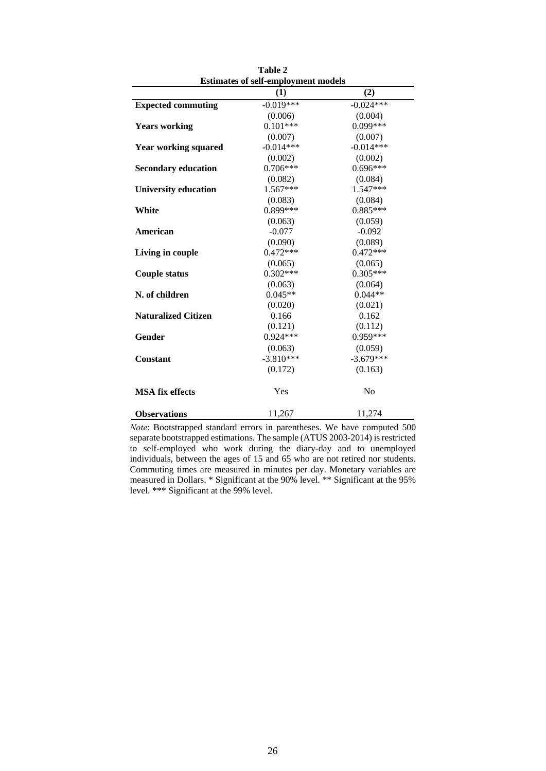| <b>Estimates of self-employment models</b> |             |                |  |  |
|--------------------------------------------|-------------|----------------|--|--|
|                                            | (1)         | (2)            |  |  |
| <b>Expected commuting</b>                  | $-0.019***$ | $-0.024***$    |  |  |
|                                            | (0.006)     | (0.004)        |  |  |
| <b>Years working</b>                       | $0.101***$  | $0.099***$     |  |  |
|                                            | (0.007)     | (0.007)        |  |  |
| <b>Year working squared</b>                | $-0.014***$ | $-0.014***$    |  |  |
|                                            | (0.002)     | (0.002)        |  |  |
| <b>Secondary education</b>                 | $0.706***$  | $0.696***$     |  |  |
|                                            | (0.082)     | (0.084)        |  |  |
| <b>University education</b>                | $1.567***$  | 1.547***       |  |  |
|                                            | (0.083)     | (0.084)        |  |  |
| White                                      | $0.899***$  | $0.885***$     |  |  |
|                                            | (0.063)     | (0.059)        |  |  |
| American                                   | $-0.077$    | $-0.092$       |  |  |
|                                            | (0.090)     | (0.089)        |  |  |
| Living in couple                           | $0.472***$  | $0.472***$     |  |  |
|                                            | (0.065)     | (0.065)        |  |  |
| <b>Couple status</b>                       | $0.302***$  | $0.305***$     |  |  |
|                                            | (0.063)     | (0.064)        |  |  |
| N. of children                             | $0.045**$   | $0.044**$      |  |  |
|                                            | (0.020)     | (0.021)        |  |  |
| <b>Naturalized Citizen</b>                 | 0.166       | 0.162          |  |  |
|                                            | (0.121)     | (0.112)        |  |  |
| Gender                                     | $0.924***$  | $0.959***$     |  |  |
|                                            | (0.063)     | (0.059)        |  |  |
| Constant                                   | $-3.810***$ | $-3.679***$    |  |  |
|                                            | (0.172)     | (0.163)        |  |  |
| <b>MSA</b> fix effects                     | Yes         | N <sub>0</sub> |  |  |
| <b>Observations</b>                        | 11,267      | 11,274         |  |  |

**Table 2** 

*Note*: Bootstrapped standard errors in parentheses. We have computed 500 separate bootstrapped estimations. The sample (ATUS 2003-2014) is restricted to self-employed who work during the diary-day and to unemployed individuals, between the ages of 15 and 65 who are not retired nor students. Commuting times are measured in minutes per day. Monetary variables are measured in Dollars. \* Significant at the 90% level. \*\* Significant at the 95% level. \*\*\* Significant at the 99% level.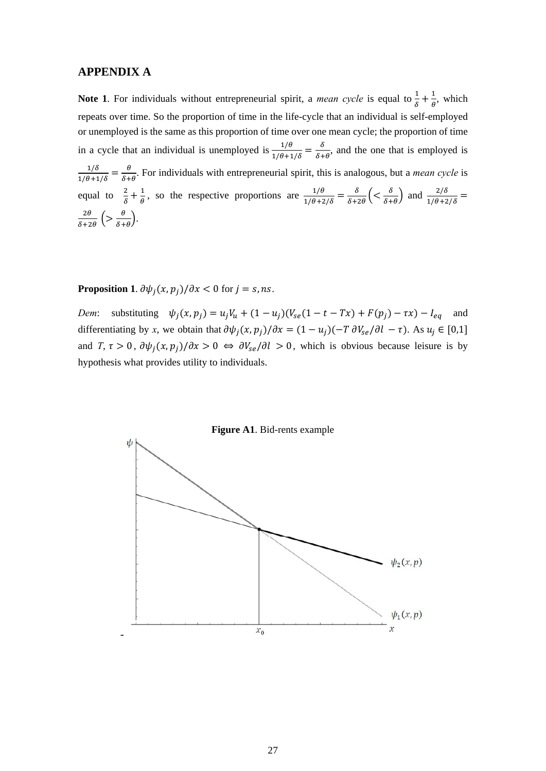#### **APPENDIX A**

**Note 1.** For individuals without entrepreneurial spirit, a *mean cycle* is equal to  $\frac{1}{\delta} + \frac{1}{\theta}$ , which repeats over time. So the proportion of time in the life-cycle that an individual is self-employed or unemployed is the same as this proportion of time over one mean cycle; the proportion of time in a cycle that an individual is unemployed is  $\frac{1/\theta}{1/\theta + 1/\delta} = \frac{\delta}{\delta + \theta}$ , and the one that is employed is  $rac{1/\delta}{1/\theta+1/\delta} = \frac{\theta}{\delta+\theta}$ . For individuals with entrepreneurial spirit, this is analogous, but a *mean cycle* is equal to  $\frac{2}{\delta} + \frac{1}{\theta}$ , so the respective proportions are  $\frac{1/\theta}{1/\theta + 2/\delta} = \frac{\delta}{\delta + 2\theta} \left( \frac{\delta}{\delta + \theta} \right)$  and  $\frac{2/\delta}{1/\theta + 2/\delta} =$  $\frac{2\theta}{\delta+2\theta}\left(>\frac{\theta}{\delta+\theta}\right).$ 

**Proposition 1.**  $\partial \psi_j(x, p_j) / \partial x < 0$  for  $j = s$ , *ns*.

*Dem*: substituting  $\psi_j(x, p_j) = u_j V_u + (1 - u_j)(V_{se}(1 - t - Tx) + F(p_j) - \tau x) - I_{eq}$  and differentiating by *x*, we obtain that  $\partial \psi_j(x, p_j) / \partial x = (1 - u_j)(-T) \partial V_{se} / \partial l - \tau$ . As  $u_j \in [0,1]$ and *T*,  $\tau > 0$ ,  $\frac{\partial \psi_i(x, p_i)}{\partial x} > 0 \Leftrightarrow \frac{\partial V_{se}}{\partial l} > 0$ , which is obvious because leisure is by hypothesis what provides utility to individuals.

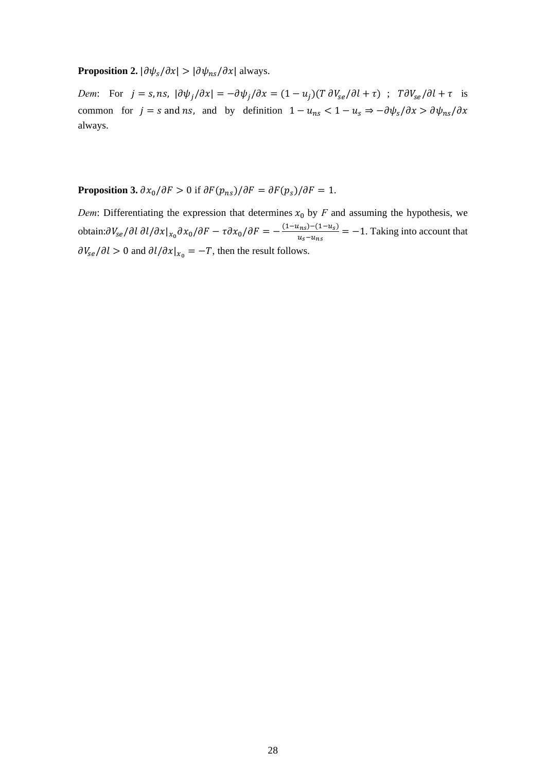#### **Proposition 2.**  $|\partial \psi_s/\partial x| > |\partial \psi_{ns}/\partial x|$  always.

*Dem*: For  $j = s$ ,  $ns$ ,  $|\partial \psi_j / \partial x| = -\partial \psi_j / \partial x = (1 - u_j)(T \partial V_{se}/\partial l + \tau)$ ;  $T \partial V_{se}/\partial l + \tau$  is common for  $j = s$  and ns, and by definition  $1 - u_{ns} < 1 - u_s \Rightarrow -\frac{\partial \psi_s}{\partial x} > \frac{\partial \psi_{ns}}{\partial x}$ always.

**Proposition 3.**  $\partial x_0 / \partial F > 0$  if  $\partial F (p_{ns}) / \partial F = \partial F (p_s) / \partial F = 1$ .

*Dem*: Differentiating the expression that determines  $x_0$  by *F* and assuming the hypothesis, we obtain: $\partial V_{se}/\partial l \partial l/\partial x|_{x_0} \partial x_0/\partial F - \tau \partial x_0/\partial F = -\frac{(1-u_{ns})-(1-u_s)}{u_s-u_{ns}} = -1$ . Taking into account that  $\partial V_{se}/\partial l > 0$  and  $\partial l/\partial x|_{x_0} = -T$ , then the result follows.